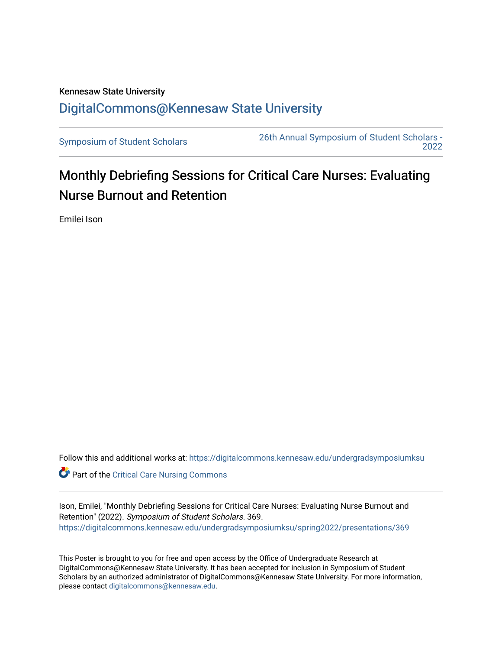## Kennesaw State University [DigitalCommons@Kennesaw State University](https://digitalcommons.kennesaw.edu/)

[Symposium of Student Scholars](https://digitalcommons.kennesaw.edu/undergradsymposiumksu) [26th Annual Symposium of Student Scholars -](https://digitalcommons.kennesaw.edu/undergradsymposiumksu/spring2022)  [2022](https://digitalcommons.kennesaw.edu/undergradsymposiumksu/spring2022) 

## Monthly Debriefing Sessions for Critical Care Nurses: Evaluating Nurse Burnout and Retention

Emilei Ison

Follow this and additional works at: [https://digitalcommons.kennesaw.edu/undergradsymposiumksu](https://digitalcommons.kennesaw.edu/undergradsymposiumksu?utm_source=digitalcommons.kennesaw.edu%2Fundergradsymposiumksu%2Fspring2022%2Fpresentations%2F369&utm_medium=PDF&utm_campaign=PDFCoverPages) 

**Part of the [Critical Care Nursing Commons](http://network.bepress.com/hgg/discipline/727?utm_source=digitalcommons.kennesaw.edu%2Fundergradsymposiumksu%2Fspring2022%2Fpresentations%2F369&utm_medium=PDF&utm_campaign=PDFCoverPages)** 

Ison, Emilei, "Monthly Debriefing Sessions for Critical Care Nurses: Evaluating Nurse Burnout and Retention" (2022). Symposium of Student Scholars. 369. [https://digitalcommons.kennesaw.edu/undergradsymposiumksu/spring2022/presentations/369](https://digitalcommons.kennesaw.edu/undergradsymposiumksu/spring2022/presentations/369?utm_source=digitalcommons.kennesaw.edu%2Fundergradsymposiumksu%2Fspring2022%2Fpresentations%2F369&utm_medium=PDF&utm_campaign=PDFCoverPages)

This Poster is brought to you for free and open access by the Office of Undergraduate Research at DigitalCommons@Kennesaw State University. It has been accepted for inclusion in Symposium of Student Scholars by an authorized administrator of DigitalCommons@Kennesaw State University. For more information, please contact [digitalcommons@kennesaw.edu.](mailto:digitalcommons@kennesaw.edu)